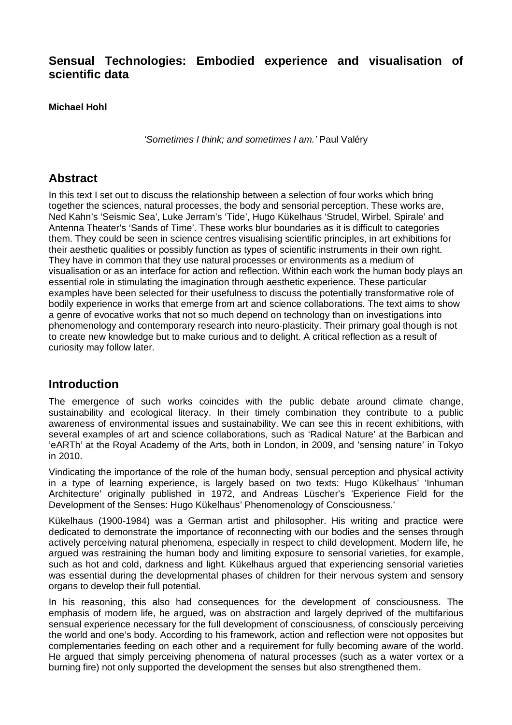## **Sensual Technologies: Embodied experience and visualisation of scientific data**

**Michael Hohl**

*'Sometimes I think; and sometimes I am.'* Paul Valéry

## **Abstract**

In this text I set out to discuss the relationship between a selection of four works which bring together the sciences, natural processes, the body and sensorial perception. These works are, Ned Kahn's 'Seismic Sea', Luke Jerram's 'Tide', Hugo Kükelhaus 'Strudel, Wirbel, Spirale' and Antenna Theater's 'Sands of Time'. These works blur boundaries as it is difficult to categories them. They could be seen in science centres visualising scientific principles, in art exhibitions for their aesthetic qualities or possibly function as types of scientific instruments in their own right. They have in common that they use natural processes or environments as a medium of visualisation or as an interface for action and reflection. Within each work the human body plays an essential role in stimulating the imagination through aesthetic experience. These particular examples have been selected for their usefulness to discuss the potentially transformative role of bodily experience in works that emerge from art and science collaborations. The text aims to show a genre of evocative works that not so much depend on technology than on investigations into phenomenology and contemporary research into neuro-plasticity. Their primary goal though is not to create new knowledge but to make curious and to delight. A critical reflection as a result of curiosity may follow later.

## **Introduction**

The emergence of such works coincides with the public debate around climate change, sustainability and ecological literacy. In their timely combination they contribute to a public awareness of environmental issues and sustainability. We can see this in recent exhibitions, with several examples of art and science collaborations, such as 'Radical Nature' at the Barbican and 'eARTh' at the Royal Academy of the Arts, both in London, in 2009, and 'sensing nature' in Tokyo in 2010.

Vindicating the importance of the role of the human body, sensual perception and physical activity in a type of learning experience, is largely based on two texts: Hugo Kükelhaus' 'Inhuman Architecture' originally published in 1972, and Andreas Lüscher's 'Experience Field for the Development of the Senses: Hugo Kükelhaus' Phenomenology of Consciousness.'

Kükelhaus (1900-1984) was a German artist and philosopher. His writing and practice were dedicated to demonstrate the importance of reconnecting with our bodies and the senses through actively perceiving natural phenomena, especially in respect to child development. Modern life, he argued was restraining the human body and limiting exposure to sensorial varieties, for example, such as hot and cold, darkness and light. Kükelhaus argued that experiencing sensorial varieties was essential during the developmental phases of children for their nervous system and sensory organs to develop their full potential.

In his reasoning, this also had consequences for the development of consciousness. The emphasis of modern life, he argued, was on abstraction and largely deprived of the multifarious sensual experience necessary for the full development of consciousness, of consciously perceiving the world and one's body. According to his framework, action and reflection were not opposites but complementaries feeding on each other and a requirement for fully becoming aware of the world. He argued that simply perceiving phenomena of natural processes (such as a water vortex or a burning fire) not only supported the development the senses but also strengthened them.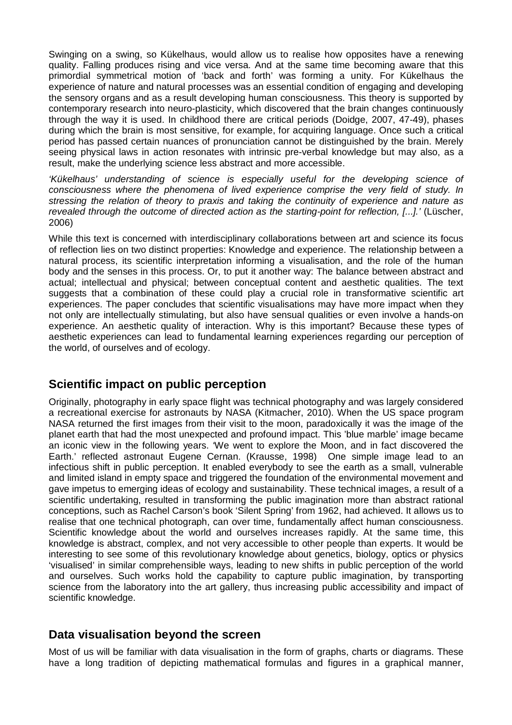Swinging on a swing, so Kükelhaus, would allow us to realise how opposites have a renewing quality. Falling produces rising and vice versa. And at the same time becoming aware that this primordial symmetrical motion of 'back and forth' was forming a unity. For Kükelhaus the experience of nature and natural processes was an essential condition of engaging and developing the sensory organs and as a result developing human consciousness. This theory is supported by contemporary research into neuro-plasticity, which discovered that the brain changes continuously through the way it is used. In childhood there are critical periods (Doidge, 2007, 47-49), phases during which the brain is most sensitive, for example, for acquiring language. Once such a critical period has passed certain nuances of pronunciation cannot be distinguished by the brain. Merely seeing physical laws in action resonates with intrinsic pre-verbal knowledge but may also, as a result, make the underlying science less abstract and more accessible.

*'Kükelhaus' understanding of science is especially useful for the developing science of consciousness where the phenomena of lived experience comprise the very field of study. In stressing the relation of theory to praxis and taking the continuity of experience and nature as revealed through the outcome of directed action as the starting-point for reflection, [...].'* (Lüscher, 2006)

While this text is concerned with interdisciplinary collaborations between art and science its focus of reflection lies on two distinct properties: Knowledge and experience. The relationship between a natural process, its scientific interpretation informing a visualisation, and the role of the human body and the senses in this process. Or, to put it another way: The balance between abstract and actual; intellectual and physical; between conceptual content and aesthetic qualities. The text suggests that a combination of these could play a crucial role in transformative scientific art experiences. The paper concludes that scientific visualisations may have more impact when they not only are intellectually stimulating, but also have sensual qualities or even involve a hands-on experience. An aesthetic quality of interaction. Why is this important? Because these types of aesthetic experiences can lead to fundamental learning experiences regarding our perception of the world, of ourselves and of ecology.

## **Scientific impact on public perception**

Originally, photography in early space flight was technical photography and was largely considered a recreational exercise for astronauts by NASA (Kitmacher, 2010). When the US space program NASA returned the first images from their visit to the moon, paradoxically it was the image of the planet earth that had the most unexpected and profound impact. This 'blue marble' image became an iconic view in the following years. 'We went to explore the Moon, and in fact discovered the Earth.' reflected astronaut Eugene Cernan. (Krausse, 1998) One simple image lead to an infectious shift in public perception. It enabled everybody to see the earth as a small, vulnerable and limited island in empty space and triggered the foundation of the environmental movement and gave impetus to emerging ideas of ecology and sustainability. These technical images, a result of a scientific undertaking, resulted in transforming the public imagination more than abstract rational conceptions, such as Rachel Carson's book 'Silent Spring' from 1962, had achieved. It allows us to realise that one technical photograph, can over time, fundamentally affect human consciousness. Scientific knowledge about the world and ourselves increases rapidly. At the same time, this knowledge is abstract, complex, and not very accessible to other people than experts. It would be interesting to see some of this revolutionary knowledge about genetics, biology, optics or physics 'visualised' in similar comprehensible ways, leading to new shifts in public perception of the world and ourselves. Such works hold the capability to capture public imagination, by transporting science from the laboratory into the art gallery, thus increasing public accessibility and impact of scientific knowledge.

## **Data visualisation beyond the screen**

Most of us will be familiar with data visualisation in the form of graphs, charts or diagrams. These have a long tradition of depicting mathematical formulas and figures in a graphical manner,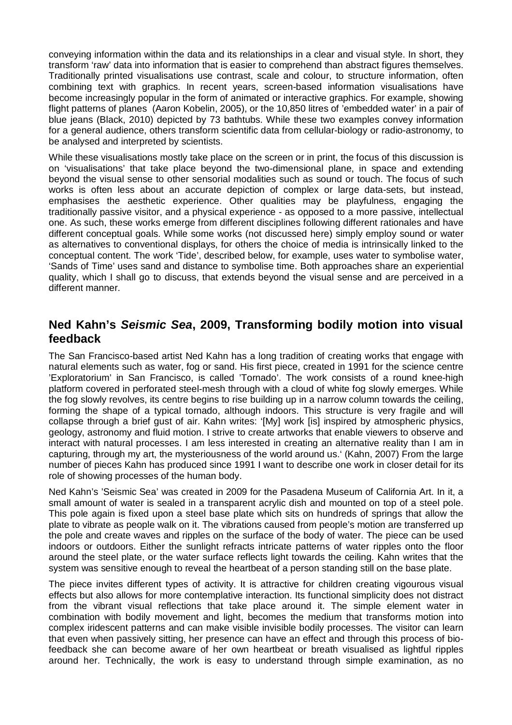conveying information within the data and its relationships in a clear and visual style. In short, they transform 'raw' data into information that is easier to comprehend than abstract figures themselves. Traditionally printed visualisations use contrast, scale and colour, to structure information, often combining text with graphics. In recent years, screen-based information visualisations have become increasingly popular in the form of animated or interactive graphics. For example, showing flight patterns of planes (Aaron Kobelin, 2005), or the 10,850 litres of 'embedded water' in a pair of blue jeans (Black, 2010) depicted by 73 bathtubs. While these two examples convey information for a general audience, others transform scientific data from cellular-biology or radio-astronomy, to be analysed and interpreted by scientists.

While these visualisations mostly take place on the screen or in print, the focus of this discussion is on 'visualisations' that take place beyond the two-dimensional plane, in space and extending beyond the visual sense to other sensorial modalities such as sound or touch. The focus of such works is often less about an accurate depiction of complex or large data-sets, but instead, emphasises the aesthetic experience. Other qualities may be playfulness, engaging the traditionally passive visitor, and a physical experience - as opposed to a more passive, intellectual one. As such, these works emerge from different disciplines following different rationales and have different conceptual goals. While some works (not discussed here) simply employ sound or water as alternatives to conventional displays, for others the choice of media is intrinsically linked to the conceptual content. The work 'Tide', described below, for example, uses water to symbolise water, 'Sands of Time' uses sand and distance to symbolise time. Both approaches share an experiential quality, which I shall go to discuss, that extends beyond the visual sense and are perceived in a different manner.

# **Ned Kahn's** *Seismic Sea***, 2009, Transforming bodily motion into visual feedback**

The San Francisco-based artist Ned Kahn has a long tradition of creating works that engage with natural elements such as water, fog or sand. His first piece, created in 1991 for the science centre 'Exploratorium' in San Francisco, is called 'Tornado'. The work consists of a round knee-high platform covered in perforated steel-mesh through with a cloud of white fog slowly emerges. While the fog slowly revolves, its centre begins to rise building up in a narrow column towards the ceiling, forming the shape of a typical tornado, although indoors. This structure is very fragile and will collapse through a brief gust of air. Kahn writes: '[My] work [is] inspired by atmospheric physics, geology, astronomy and fluid motion. I strive to create artworks that enable viewers to observe and interact with natural processes. I am less interested in creating an alternative reality than I am in capturing, through my art, the mysteriousness of the world around us.' (Kahn, 2007) From the large number of pieces Kahn has produced since 1991 I want to describe one work in closer detail for its role of showing processes of the human body.

Ned Kahn's 'Seismic Sea' was created in 2009 for the Pasadena Museum of California Art. In it, a small amount of water is sealed in a transparent acrylic dish and mounted on top of a steel pole. This pole again is fixed upon a steel base plate which sits on hundreds of springs that allow the plate to vibrate as people walk on it. The vibrations caused from people's motion are transferred up the pole and create waves and ripples on the surface of the body of water. The piece can be used indoors or outdoors. Either the sunlight refracts intricate patterns of water ripples onto the floor around the steel plate, or the water surface reflects light towards the ceiling. Kahn writes that the system was sensitive enough to reveal the heartbeat of a person standing still on the base plate.

The piece invites different types of activity. It is attractive for children creating vigourous visual effects but also allows for more contemplative interaction. Its functional simplicity does not distract from the vibrant visual reflections that take place around it. The simple element water in combination with bodily movement and light, becomes the medium that transforms motion into complex iridescent patterns and can make visible invisible bodily processes. The visitor can learn that even when passively sitting, her presence can have an effect and through this process of biofeedback she can become aware of her own heartbeat or breath visualised as lightful ripples around her. Technically, the work is easy to understand through simple examination, as no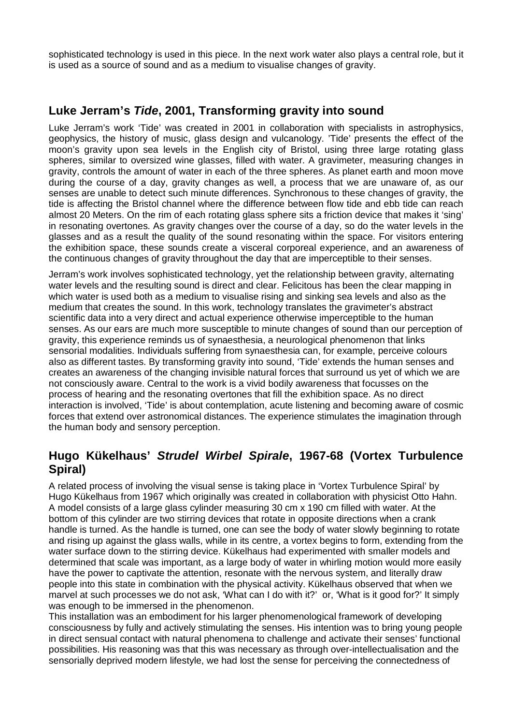sophisticated technology is used in this piece. In the next work water also plays a central role, but it is used as a source of sound and as a medium to visualise changes of gravity.

# **Luke Jerram's** *Tide***, 2001, Transforming gravity into sound**

Luke Jerram's work 'Tide' was created in 2001 in collaboration with specialists in astrophysics, geophysics, the history of music, glass design and vulcanology. 'Tide' presents the effect of the moon's gravity upon sea levels in the English city of Bristol, using three large rotating glass spheres, similar to oversized wine glasses, filled with water. A gravimeter, measuring changes in gravity, controls the amount of water in each of the three spheres. As planet earth and moon move during the course of a day, gravity changes as well, a process that we are unaware of, as our senses are unable to detect such minute differences. Synchronous to these changes of gravity, the tide is affecting the Bristol channel where the difference between flow tide and ebb tide can reach almost 20 Meters. On the rim of each rotating glass sphere sits a friction device that makes it 'sing' in resonating overtones. As gravity changes over the course of a day, so do the water levels in the glasses and as a result the quality of the sound resonating within the space. For visitors entering the exhibition space, these sounds create a visceral corporeal experience, and an awareness of the continuous changes of gravity throughout the day that are imperceptible to their senses.

Jerram's work involves sophisticated technology, yet the relationship between gravity, alternating water levels and the resulting sound is direct and clear. Felicitous has been the clear mapping in which water is used both as a medium to visualise rising and sinking sea levels and also as the medium that creates the sound. In this work, technology translates the gravimeter's abstract scientific data into a very direct and actual experience otherwise imperceptible to the human senses. As our ears are much more susceptible to minute changes of sound than our perception of gravity, this experience reminds us of synaesthesia, a neurological phenomenon that links sensorial modalities. Individuals suffering from synaesthesia can, for example, perceive colours also as different tastes. By transforming gravity into sound, 'Tide' extends the human senses and creates an awareness of the changing invisible natural forces that surround us yet of which we are not consciously aware. Central to the work is a vivid bodily awareness that focusses on the process of hearing and the resonating overtones that fill the exhibition space. As no direct interaction is involved, 'Tide' is about contemplation, acute listening and becoming aware of cosmic forces that extend over astronomical distances. The experience stimulates the imagination through the human body and sensory perception.

# **Hugo Kükelhaus'** *Strudel Wirbel Spirale***, 1967-68 (Vortex Turbulence Spiral)**

A related process of involving the visual sense is taking place in 'Vortex Turbulence Spiral' by Hugo Kükelhaus from 1967 which originally was created in collaboration with physicist Otto Hahn. A model consists of a large glass cylinder measuring 30 cm x 190 cm filled with water. At the bottom of this cylinder are two stirring devices that rotate in opposite directions when a crank handle is turned. As the handle is turned, one can see the body of water slowly beginning to rotate and rising up against the glass walls, while in its centre, a vortex begins to form, extending from the water surface down to the stirring device. Kükelhaus had experimented with smaller models and determined that scale was important, as a large body of water in whirling motion would more easily have the power to captivate the attention, resonate with the nervous system, and literally draw people into this state in combination with the physical activity. Kükelhaus observed that when we marvel at such processes we do not ask, 'What can I do with it?' or, 'What is it good for?' It simply was enough to be immersed in the phenomenon.

This installation was an embodiment for his larger phenomenological framework of developing consciousness by fully and actively stimulating the senses. His intention was to bring young people in direct sensual contact with natural phenomena to challenge and activate their senses' functional possibilities. His reasoning was that this was necessary as through over-intellectualisation and the sensorially deprived modern lifestyle, we had lost the sense for perceiving the connectedness of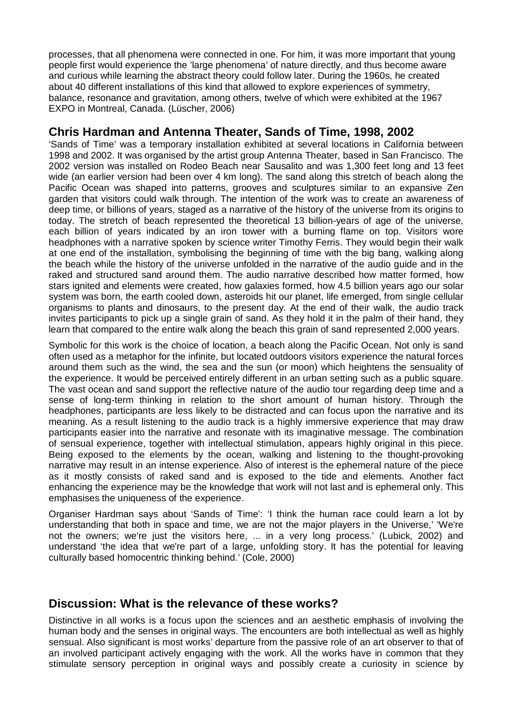processes, that all phenomena were connected in one. For him, it was more important that young people first would experience the 'large phenomena' of nature directly, and thus become aware and curious while learning the abstract theory could follow later. During the 1960s, he created about 40 different installations of this kind that allowed to explore experiences of symmetry, balance, resonance and gravitation, among others, twelve of which were exhibited at the 1967 EXPO in Montreal, Canada. (Lüscher, 2006)

#### **Chris Hardman and Antenna Theater, Sands of Time, 1998, 2002**

'Sands of Time' was a temporary installation exhibited at several locations in California between 1998 and 2002. It was organised by the artist group Antenna Theater, based in San Francisco. The 2002 version was installed on Rodeo Beach near Sausalito and was 1,300 feet long and 13 feet wide (an earlier version had been over 4 km long). The sand along this stretch of beach along the Pacific Ocean was shaped into patterns, grooves and sculptures similar to an expansive Zen garden that visitors could walk through. The intention of the work was to create an awareness of deep time, or billions of years, staged as a narrative of the history of the universe from its origins to today. The stretch of beach represented the theoretical 13 billion-years of age of the universe, each billion of years indicated by an iron tower with a burning flame on top. Visitors wore headphones with a narrative spoken by science writer Timothy Ferris. They would begin their walk at one end of the installation, symbolising the beginning of time with the big bang, walking along the beach while the history of the universe unfolded in the narrative of the audio guide and in the raked and structured sand around them. The audio narrative described how matter formed, how stars ignited and elements were created, how galaxies formed, how 4.5 billion years ago our solar system was born, the earth cooled down, asteroids hit our planet, life emerged, from single cellular organisms to plants and dinosaurs, to the present day. At the end of their walk, the audio track invites participants to pick up a single grain of sand. As they hold it in the palm of their hand, they learn that compared to the entire walk along the beach this grain of sand represented 2,000 years.

Symbolic for this work is the choice of location, a beach along the Pacific Ocean. Not only is sand often used as a metaphor for the infinite, but located outdoors visitors experience the natural forces around them such as the wind, the sea and the sun (or moon) which heightens the sensuality of the experience. It would be perceived entirely different in an urban setting such as a public square. The vast ocean and sand support the reflective nature of the audio tour regarding deep time and a sense of long-term thinking in relation to the short amount of human history. Through the headphones, participants are less likely to be distracted and can focus upon the narrative and its meaning. As a result listening to the audio track is a highly immersive experience that may draw participants easier into the narrative and resonate with its imaginative message. The combination of sensual experience, together with intellectual stimulation, appears highly original in this piece. Being exposed to the elements by the ocean, walking and listening to the thought-provoking narrative may result in an intense experience. Also of interest is the ephemeral nature of the piece as it mostly consists of raked sand and is exposed to the tide and elements. Another fact enhancing the experience may be the knowledge that work will not last and is ephemeral only. This emphasises the uniqueness of the experience.

Organiser Hardman says about 'Sands of Time': 'I think the human race could learn a lot by understanding that both in space and time, we are not the major players in the Universe,' 'We're not the owners; we're just the visitors here, ... in a very long process.' (Lubick, 2002) and understand 'the idea that we're part of a large, unfolding story. It has the potential for leaving culturally based homocentric thinking behind.' (Cole, 2000)

## **Discussion: What is the relevance of these works?**

Distinctive in all works is a focus upon the sciences and an aesthetic emphasis of involving the human body and the senses in original ways. The encounters are both intellectual as well as highly sensual. Also significant is most works' departure from the passive role of an art observer to that of an involved participant actively engaging with the work. All the works have in common that they stimulate sensory perception in original ways and possibly create a curiosity in science by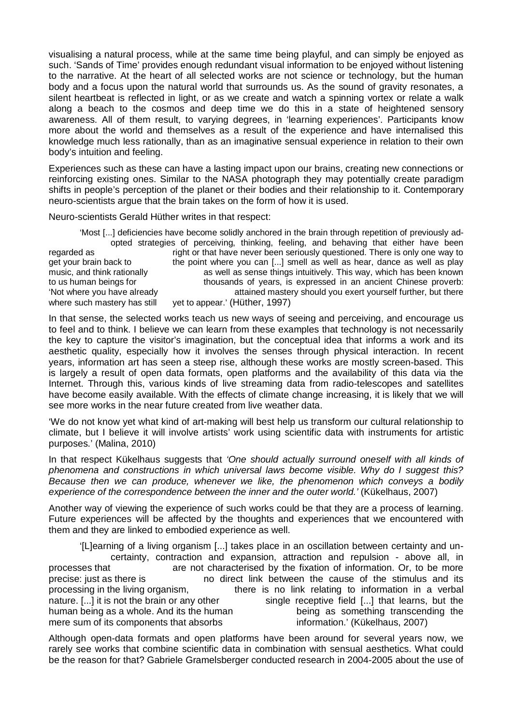visualising a natural process, while at the same time being playful, and can simply be enjoyed as such. 'Sands of Time' provides enough redundant visual information to be enjoyed without listening to the narrative. At the heart of all selected works are not science or technology, but the human body and a focus upon the natural world that surrounds us. As the sound of gravity resonates, a silent heartbeat is reflected in light, or as we create and watch a spinning vortex or relate a walk along a beach to the cosmos and deep time we do this in a state of heightened sensory awareness. All of them result, to varying degrees, in 'learning experiences'. Participants know more about the world and themselves as a result of the experience and have internalised this knowledge much less rationally, than as an imaginative sensual experience in relation to their own body's intuition and feeling.

Experiences such as these can have a lasting impact upon our brains, creating new connections or reinforcing existing ones. Similar to the NASA photograph they may potentially create paradigm shifts in people's perception of the planet or their bodies and their relationship to it. Contemporary neuro-scientists argue that the brain takes on the form of how it is used.

Neuro-scientists Gerald Hüther writes in that respect:

'Most [...] deficiencies have become solidly anchored in the brain through repetition of previously adopted strategies of perceiving, thinking, feeling, and behaving that either have been regarded as right or that have never been seriously questioned. There is only one way to get your brain back to the point where you can [...] smell as well as hear, dance as well as play music, and think rationally as well as sense things intuitively. This way, which has been known to us human beings for thousands of years, is expressed in an ancient Chinese proverb: 'Not where you have already attained mastery should you exert yourself further, but there where such mastery has still yet to appear.' (Hüther, 1997)

In that sense, the selected works teach us new ways of seeing and perceiving, and encourage us to feel and to think. I believe we can learn from these examples that technology is not necessarily the key to capture the visitor's imagination, but the conceptual idea that informs a work and its aesthetic quality, especially how it involves the senses through physical interaction. In recent years, information art has seen a steep rise, although these works are mostly screen-based. This is largely a result of open data formats, open platforms and the availability of this data via the Internet. Through this, various kinds of live streaming data from radio-telescopes and satellites have become easily available. With the effects of climate change increasing, it is likely that we will see more works in the near future created from live weather data.

'We do not know yet what kind of art-making will best help us transform our cultural relationship to climate, but I believe it will involve artists' work using scientific data with instruments for artistic purposes.' (Malina, 2010)

In that respect Kükelhaus suggests that *'One should actually surround oneself with all kinds of phenomena and constructions in which universal laws become visible. Why do I suggest this? Because then we can produce, whenever we like, the phenomenon which conveys a bodily experience of the correspondence between the inner and the outer world.'* (Kükelhaus, 2007)

Another way of viewing the experience of such works could be that they are a process of learning. Future experiences will be affected by the thoughts and experiences that we encountered with them and they are linked to embodied experience as well.

'[L]earning of a living organism [...] takes place in an oscillation between certainty and uncertainty, contraction and expansion, attraction and repulsion - above all, in processes that are not characterised by the fixation of information. Or, to be more precise: just as there is no direct link between the cause of the stimulus and its processing in the living organism, there is no link relating to information in a verbal nature. [...] it is not the brain or any other single receptive field [...] that learns, but the human being as a whole. And its the human being as something transcending the mere sum of its components that absorbs information.' (Kükelhaus, 2007)

Although open-data formats and open platforms have been around for several years now, we rarely see works that combine scientific data in combination with sensual aesthetics. What could be the reason for that? Gabriele Gramelsberger conducted research in 2004-2005 about the use of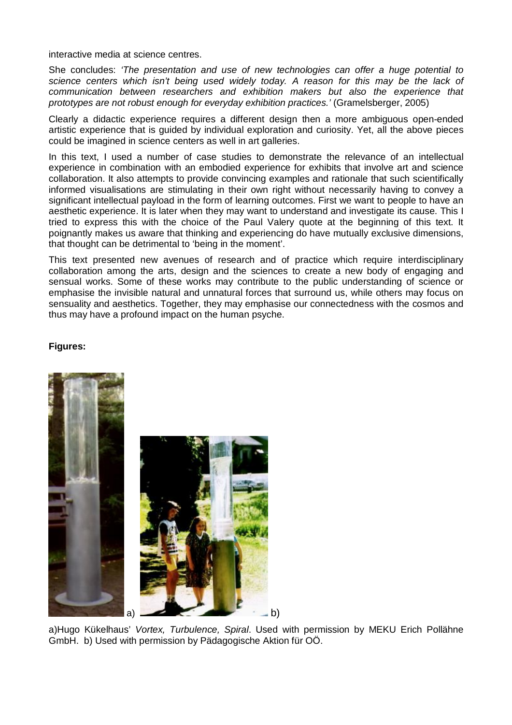interactive media at science centres.

She concludes: *'The presentation and use of new technologies can offer a huge potential to science centers which isn't being used widely today. A reason for this may be the lack of communication between researchers and exhibition makers but also the experience that prototypes are not robust enough for everyday exhibition practices.'* (Gramelsberger, 2005)

Clearly a didactic experience requires a different design then a more ambiguous open-ended artistic experience that is guided by individual exploration and curiosity. Yet, all the above pieces could be imagined in science centers as well in art galleries.

In this text, I used a number of case studies to demonstrate the relevance of an intellectual experience in combination with an embodied experience for exhibits that involve art and science collaboration. It also attempts to provide convincing examples and rationale that such scientifically informed visualisations are stimulating in their own right without necessarily having to convey a significant intellectual payload in the form of learning outcomes. First we want to people to have an aesthetic experience. It is later when they may want to understand and investigate its cause. This I tried to express this with the choice of the Paul Valery quote at the beginning of this text. It poignantly makes us aware that thinking and experiencing do have mutually exclusive dimensions, that thought can be detrimental to 'being in the moment'.

This text presented new avenues of research and of practice which require interdisciplinary collaboration among the arts, design and the sciences to create a new body of engaging and sensual works. Some of these works may contribute to the public understanding of science or emphasise the invisible natural and unnatural forces that surround us, while others may focus on sensuality and aesthetics. Together, they may emphasise our connectedness with the cosmos and thus may have a profound impact on the human psyche.

#### **Figures:**



a)Hugo Kükelhaus' *Vortex, Turbulence, Spiral*. Used with permission by MEKU Erich Pollähne GmbH. b) Used with permission by Pädagogische Aktion für OÖ.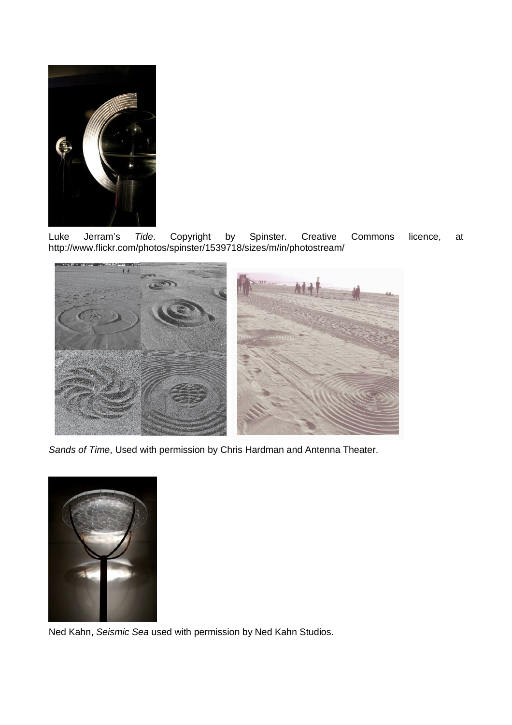

Luke Jerram's *Tide*. Copyright by Spinster. Creative Commons licence, at http://www.flickr.com/photos/spinster/1539718/sizes/m/in/photostream/



*Sands of Time*, Used with permission by Chris Hardman and Antenna Theater.



Ned Kahn, *Seismic Sea* used with permission by Ned Kahn Studios.